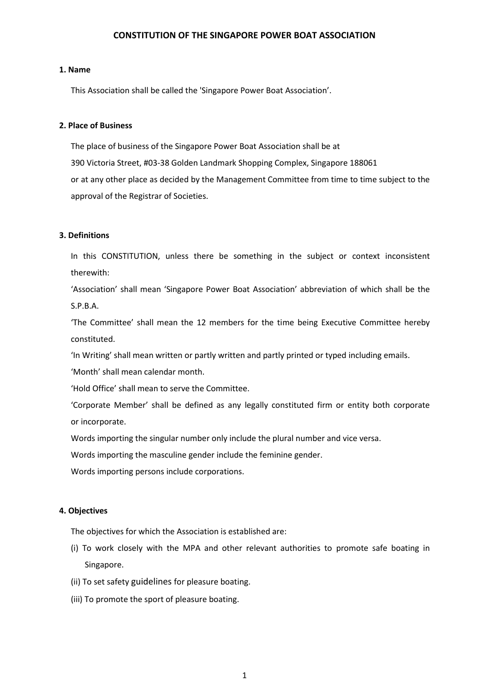# **CONSTITUTION OF THE SINGAPORE POWER BOAT ASSOCIATION**

### **1. Name**

This Association shall be called the 'Singapore Power Boat Association'.

# **2. Place of Business**

The place of business of the Singapore Power Boat Association shall be at 390 Victoria Street, #03-38 Golden Landmark Shopping Complex, Singapore 188061 or at any other place as decided by the Management Committee from time to time subject to the approval of the Registrar of Societies.

# **3. Definitions**

In this CONSTITUTION, unless there be something in the subject or context inconsistent therewith:

'Association' shall mean 'Singapore Power Boat Association' abbreviation of which shall be the S.P.B.A.

'The Committee' shall mean the 12 members for the time being Executive Committee hereby constituted.

'In Writing' shall mean written or partly written and partly printed or typed including emails.

'Month' shall mean calendar month.

'Hold Office' shall mean to serve the Committee.

'Corporate Member' shall be defined as any legally constituted firm or entity both corporate or incorporate.

Words importing the singular number only include the plural number and vice versa.

Words importing the masculine gender include the feminine gender.

Words importing persons include corporations.

# **4. Objectives**

The objectives for which the Association is established are:

- (i) To work closely with the MPA and other relevant authorities to promote safe boating in Singapore.
- (ii) To set safety guidelines for pleasure boating.
- (iii) To promote the sport of pleasure boating.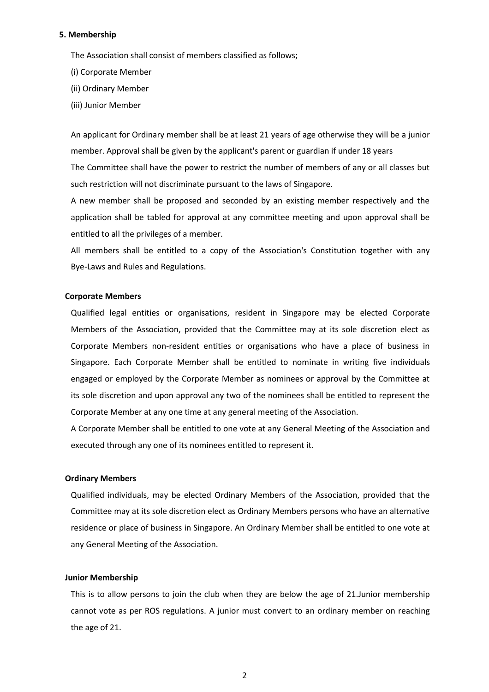#### **5. Membership**

The Association shall consist of members classified as follows;

- (i) Corporate Member
- (ii) Ordinary Member
- (iii) Junior Member

An applicant for Ordinary member shall be at least 21 years of age otherwise they will be a junior member. Approval shall be given by the applicant's parent or guardian if under 18 years The Committee shall have the power to restrict the number of members of any or all classes but such restriction will not discriminate pursuant to the laws of Singapore.

A new member shall be proposed and seconded by an existing member respectively and the application shall be tabled for approval at any committee meeting and upon approval shall be entitled to all the privileges of a member.

All members shall be entitled to a copy of the Association's Constitution together with any Bye-Laws and Rules and Regulations.

#### **Corporate Members**

Qualified legal entities or organisations, resident in Singapore may be elected Corporate Members of the Association, provided that the Committee may at its sole discretion elect as Corporate Members non-resident entities or organisations who have a place of business in Singapore. Each Corporate Member shall be entitled to nominate in writing five individuals engaged or employed by the Corporate Member as nominees or approval by the Committee at its sole discretion and upon approval any two of the nominees shall be entitled to represent the Corporate Member at any one time at any general meeting of the Association.

A Corporate Member shall be entitled to one vote at any General Meeting of the Association and executed through any one of its nominees entitled to represent it.

## **Ordinary Members**

Qualified individuals, may be elected Ordinary Members of the Association, provided that the Committee may at its sole discretion elect as Ordinary Members persons who have an alternative residence or place of business in Singapore. An Ordinary Member shall be entitled to one vote at any General Meeting of the Association.

#### **Junior Membership**

This is to allow persons to join the club when they are below the age of 21.Junior membership cannot vote as per ROS regulations. A junior must convert to an ordinary member on reaching the age of 21.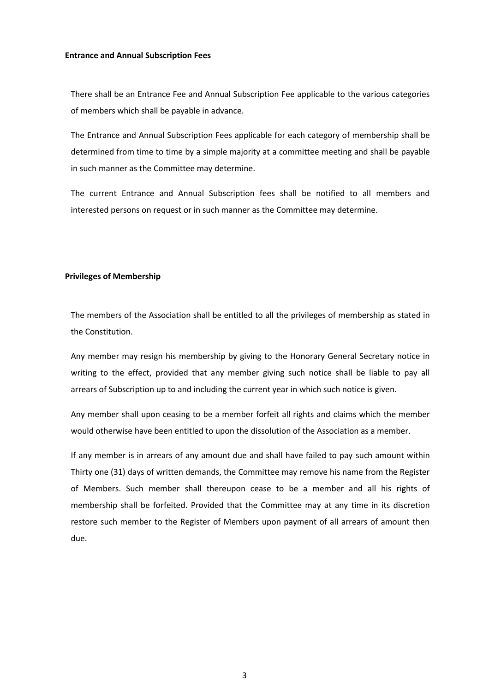#### **Entrance and Annual Subscription Fees**

There shall be an Entrance Fee and Annual Subscription Fee applicable to the various categories of members which shall be payable in advance.

The Entrance and Annual Subscription Fees applicable for each category of membership shall be determined from time to time by a simple majority at a committee meeting and shall be payable in such manner as the Committee may determine.

The current Entrance and Annual Subscription fees shall be notified to all members and interested persons on request or in such manner as the Committee may determine.

## **Privileges of Membership**

The members of the Association shall be entitled to all the privileges of membership as stated in the Constitution.

Any member may resign his membership by giving to the Honorary General Secretary notice in writing to the effect, provided that any member giving such notice shall be liable to pay all arrears of Subscription up to and including the current year in which such notice is given.

Any member shall upon ceasing to be a member forfeit all rights and claims which the member would otherwise have been entitled to upon the dissolution of the Association as a member.

If any member is in arrears of any amount due and shall have failed to pay such amount within Thirty one (31) days of written demands, the Committee may remove his name from the Register of Members. Such member shall thereupon cease to be a member and all his rights of membership shall be forfeited. Provided that the Committee may at any time in its discretion restore such member to the Register of Members upon payment of all arrears of amount then due.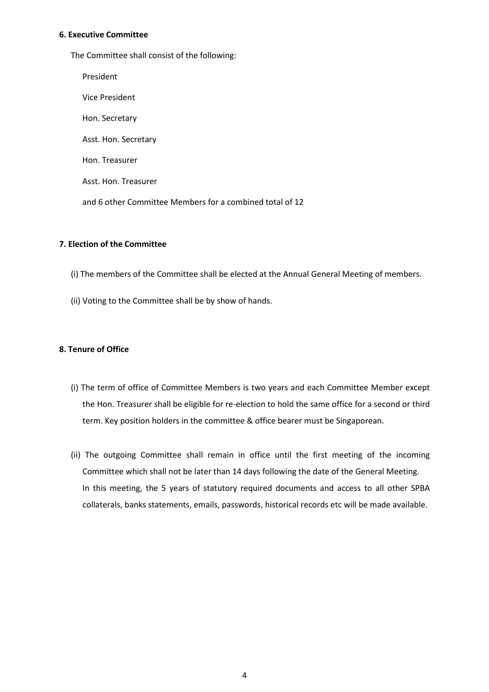# **6. Executive Committee**

The Committee shall consist of the following:

President Vice President Hon. Secretary Asst. Hon. Secretary Hon. Treasurer Asst. Hon. Treasurer and 6 other Committee Members for a combined total of 12

# **7. Election of the Committee**

- (i) The members of the Committee shall be elected at the Annual General Meeting of members.
- (ii) Voting to the Committee shall be by show of hands.

# **8. Tenure of Office**

- (i) The term of office of Committee Members is two years and each Committee Member except the Hon. Treasurer shall be eligible for re-election to hold the same office for a second or third term. Key position holders in the committee & office bearer must be Singaporean.
- (ii) The outgoing Committee shall remain in office until the first meeting of the incoming Committee which shall not be later than 14 days following the date of the General Meeting. In this meeting, the 5 years of statutory required documents and access to all other SPBA collaterals, banks statements, emails, passwords, historical records etc will be made available.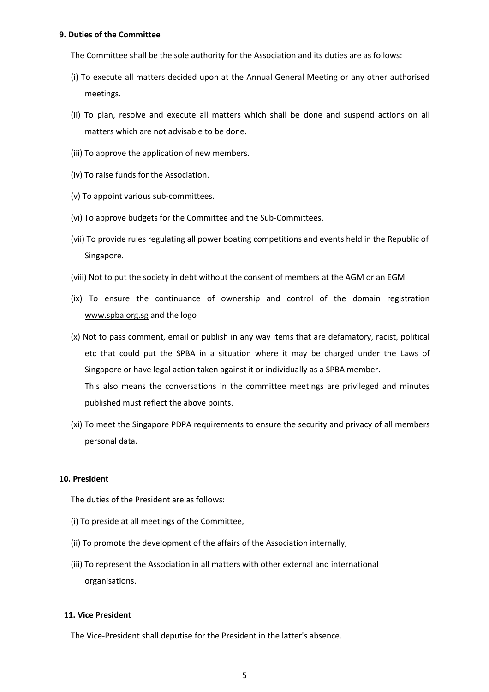#### **9. Duties of the Committee**

The Committee shall be the sole authority for the Association and its duties are as follows:

- (i) To execute all matters decided upon at the Annual General Meeting or any other authorised meetings.
- (ii) To plan, resolve and execute all matters which shall be done and suspend actions on all matters which are not advisable to be done.
- (iii) To approve the application of new members.
- (iv) To raise funds for the Association.
- (v) To appoint various sub-committees.
- (vi) To approve budgets for the Committee and the Sub-Committees.
- (vii) To provide rules regulating all power boating competitions and events held in the Republic of Singapore.
- (viii) Not to put the society in debt without the consent of members at the AGM or an EGM
- (ix) To ensure the continuance of ownership and control of the domain registration [www.spba.org.sg](http://www.spba.org.sg/) and the logo
- (x) Not to pass comment, email or publish in any way items that are defamatory, racist, political etc that could put the SPBA in a situation where it may be charged under the Laws of Singapore or have legal action taken against it or individually as a SPBA member. This also means the conversations in the committee meetings are privileged and minutes published must reflect the above points.
- (xi) To meet the Singapore PDPA requirements to ensure the security and privacy of all members personal data.

## **10. President**

The duties of the President are as follows:

- (i) To preside at all meetings of the Committee,
- (ii) To promote the development of the affairs of the Association internally,
- (iii) To represent the Association in all matters with other external and international organisations.

# **11. Vice President**

The Vice-President shall deputise for the President in the latter's absence.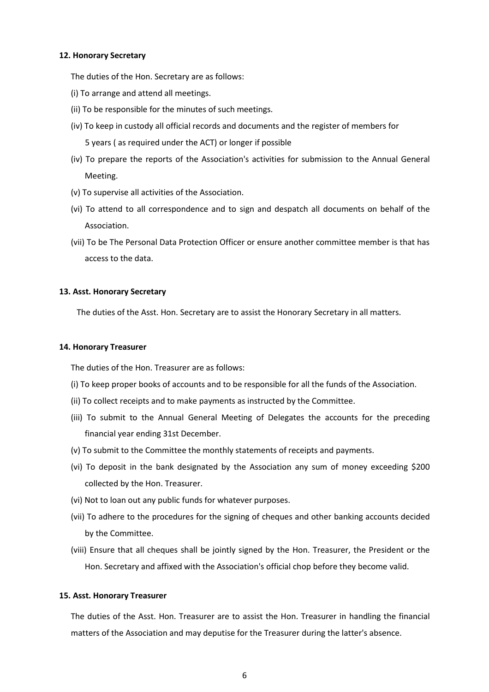### **12. Honorary Secretary**

The duties of the Hon. Secretary are as follows:

- (i) To arrange and attend all meetings.
- (ii) To be responsible for the minutes of such meetings.
- (iv) To keep in custody all official records and documents and the register of members for 5 years ( as required under the ACT) or longer if possible
- (iv) To prepare the reports of the Association's activities for submission to the Annual General Meeting.
- (v) To supervise all activities of the Association.
- (vi) To attend to all correspondence and to sign and despatch all documents on behalf of the Association.
- (vii) To be The Personal Data Protection Officer or ensure another committee member is that has access to the data.

## **13. Asst. Honorary Secretary**

The duties of the Asst. Hon. Secretary are to assist the Honorary Secretary in all matters.

### **14. Honorary Treasurer**

The duties of the Hon. Treasurer are as follows:

- (i) To keep proper books of accounts and to be responsible for all the funds of the Association.
- (ii) To collect receipts and to make payments as instructed by the Committee.
- (iii) To submit to the Annual General Meeting of Delegates the accounts for the preceding financial year ending 31st December.
- (v) To submit to the Committee the monthly statements of receipts and payments.
- (vi) To deposit in the bank designated by the Association any sum of money exceeding \$200 collected by the Hon. Treasurer.
- (vi) Not to loan out any public funds for whatever purposes.
- (vii) To adhere to the procedures for the signing of cheques and other banking accounts decided by the Committee.
- (viii) Ensure that all cheques shall be jointly signed by the Hon. Treasurer, the President or the Hon. Secretary and affixed with the Association's official chop before they become valid.

#### **15. Asst. Honorary Treasurer**

The duties of the Asst. Hon. Treasurer are to assist the Hon. Treasurer in handling the financial matters of the Association and may deputise for the Treasurer during the latter's absence.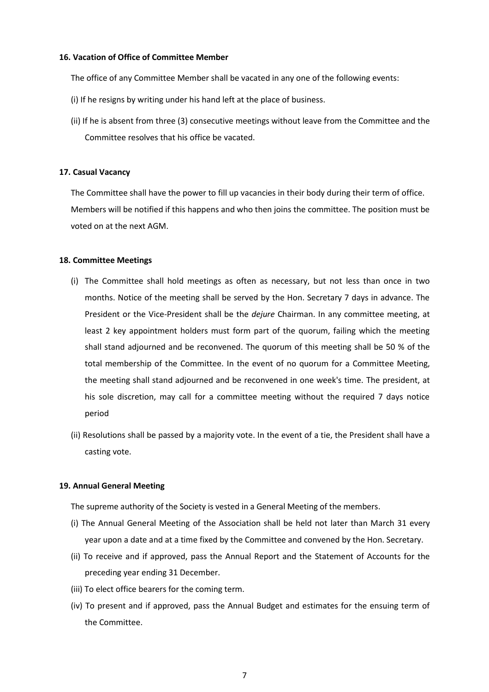### **16. Vacation of Office of Committee Member**

The office of any Committee Member shall be vacated in any one of the following events:

- (i) If he resigns by writing under his hand left at the place of business.
- (ii) If he is absent from three (3) consecutive meetings without leave from the Committee and the Committee resolves that his office be vacated.

# **17. Casual Vacancy**

The Committee shall have the power to fill up vacancies in their body during their term of office. Members will be notified if this happens and who then joins the committee. The position must be voted on at the next AGM.

# **18. Committee Meetings**

- (i) The Committee shall hold meetings as often as necessary, but not less than once in two months. Notice of the meeting shall be served by the Hon. Secretary 7 days in advance. The President or the Vice-President shall be the *dejure* Chairman. In any committee meeting, at least 2 key appointment holders must form part of the quorum, failing which the meeting shall stand adjourned and be reconvened. The quorum of this meeting shall be 50 % of the total membership of the Committee. In the event of no quorum for a Committee Meeting, the meeting shall stand adjourned and be reconvened in one week's time. The president, at his sole discretion, may call for a committee meeting without the required 7 days notice period
- (ii) Resolutions shall be passed by a majority vote. In the event of a tie, the President shall have a casting vote.

### **19. Annual General Meeting**

The supreme authority of the Society is vested in a General Meeting of the members.

- (i) The Annual General Meeting of the Association shall be held not later than March 31 every year upon a date and at a time fixed by the Committee and convened by the Hon. Secretary.
- (ii) To receive and if approved, pass the Annual Report and the Statement of Accounts for the preceding year ending 31 December.
- (iii) To elect office bearers for the coming term.
- (iv) To present and if approved, pass the Annual Budget and estimates for the ensuing term of the Committee.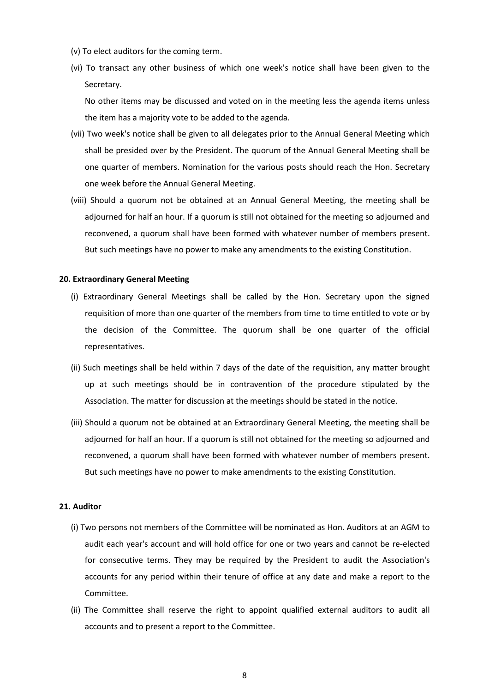- (v) To elect auditors for the coming term.
- (vi) To transact any other business of which one week's notice shall have been given to the Secretary.

No other items may be discussed and voted on in the meeting less the agenda items unless the item has a majority vote to be added to the agenda.

- (vii) Two week's notice shall be given to all delegates prior to the Annual General Meeting which shall be presided over by the President. The quorum of the Annual General Meeting shall be one quarter of members. Nomination for the various posts should reach the Hon. Secretary one week before the Annual General Meeting.
- (viii) Should a quorum not be obtained at an Annual General Meeting, the meeting shall be adjourned for half an hour. If a quorum is still not obtained for the meeting so adjourned and reconvened, a quorum shall have been formed with whatever number of members present. But such meetings have no power to make any amendments to the existing Constitution.

#### **20. Extraordinary General Meeting**

- (i) Extraordinary General Meetings shall be called by the Hon. Secretary upon the signed requisition of more than one quarter of the members from time to time entitled to vote or by the decision of the Committee. The quorum shall be one quarter of the official representatives.
- (ii) Such meetings shall be held within 7 days of the date of the requisition, any matter brought up at such meetings should be in contravention of the procedure stipulated by the Association. The matter for discussion at the meetings should be stated in the notice.
- (iii) Should a quorum not be obtained at an Extraordinary General Meeting, the meeting shall be adjourned for half an hour. If a quorum is still not obtained for the meeting so adjourned and reconvened, a quorum shall have been formed with whatever number of members present. But such meetings have no power to make amendments to the existing Constitution.

#### **21. Auditor**

- (i) Two persons not members of the Committee will be nominated as Hon. Auditors at an AGM to audit each year's account and will hold office for one or two years and cannot be re-elected for consecutive terms. They may be required by the President to audit the Association's accounts for any period within their tenure of office at any date and make a report to the Committee.
- (ii) The Committee shall reserve the right to appoint qualified external auditors to audit all accounts and to present a report to the Committee.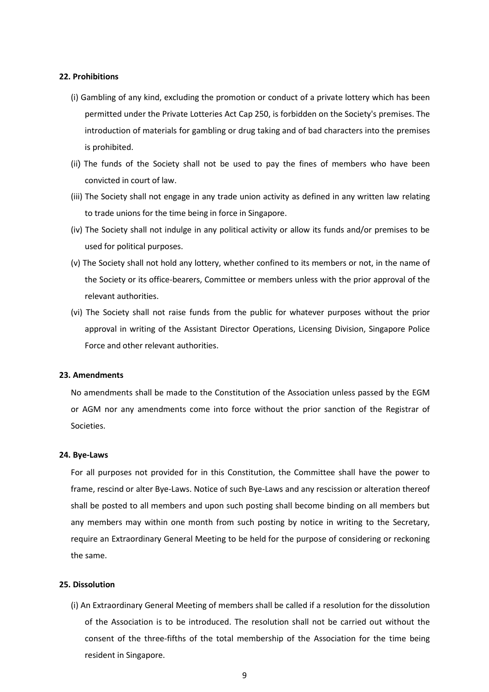## **22. Prohibitions**

- (i) Gambling of any kind, excluding the promotion or conduct of a private lottery which has been permitted under the Private Lotteries Act Cap 250, is forbidden on the Society's premises. The introduction of materials for gambling or drug taking and of bad characters into the premises is prohibited.
- (ii) The funds of the Society shall not be used to pay the fines of members who have been convicted in court of law.
- (iii) The Society shall not engage in any trade union activity as defined in any written law relating to trade unions for the time being in force in Singapore.
- (iv) The Society shall not indulge in any political activity or allow its funds and/or premises to be used for political purposes.
- (v) The Society shall not hold any lottery, whether confined to its members or not, in the name of the Society or its office-bearers, Committee or members unless with the prior approval of the relevant authorities.
- (vi) The Society shall not raise funds from the public for whatever purposes without the prior approval in writing of the Assistant Director Operations, Licensing Division, Singapore Police Force and other relevant authorities.

## **23. Amendments**

No amendments shall be made to the Constitution of the Association unless passed by the EGM or AGM nor any amendments come into force without the prior sanction of the Registrar of Societies.

#### **24. Bye-Laws**

For all purposes not provided for in this Constitution, the Committee shall have the power to frame, rescind or alter Bye-Laws. Notice of such Bye-Laws and any rescission or alteration thereof shall be posted to all members and upon such posting shall become binding on all members but any members may within one month from such posting by notice in writing to the Secretary, require an Extraordinary General Meeting to be held for the purpose of considering or reckoning the same.

#### **25. Dissolution**

(i) An Extraordinary General Meeting of members shall be called if a resolution for the dissolution of the Association is to be introduced. The resolution shall not be carried out without the consent of the three-fifths of the total membership of the Association for the time being resident in Singapore.